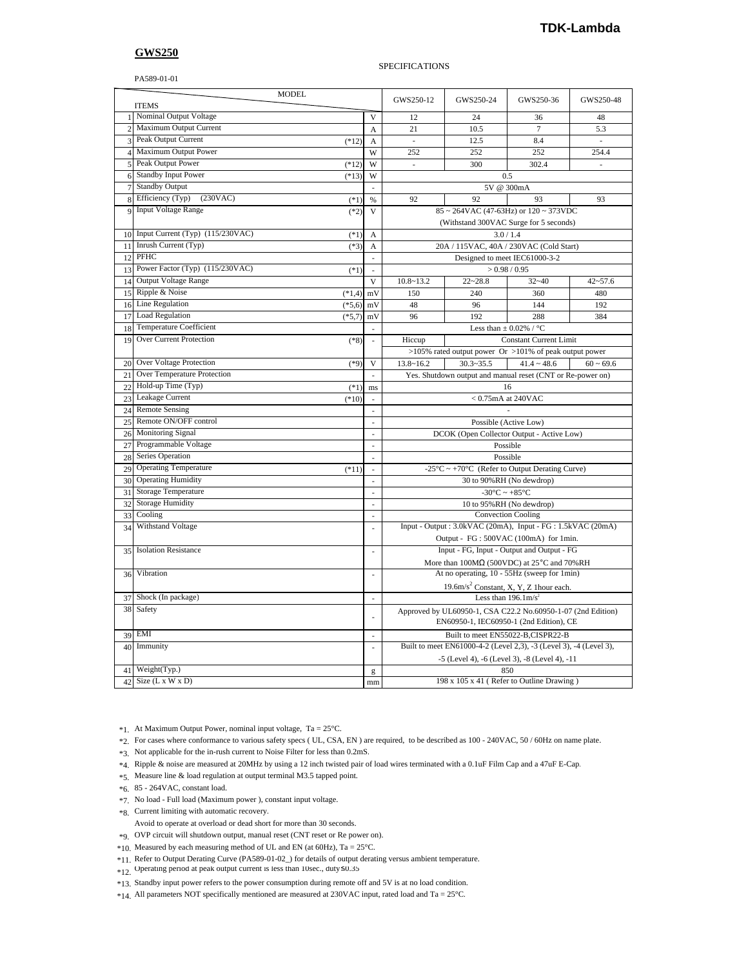## **GWS250**

PA589-01-01

## SPECIFICATIONS

|                | <b>MODEL</b><br><b>ITEMS</b>               |                          | GWS250-12                                                          | GWS250-24                                                          | GWS250-36        | GWS250-48      |  |
|----------------|--------------------------------------------|--------------------------|--------------------------------------------------------------------|--------------------------------------------------------------------|------------------|----------------|--|
| 1              | Nominal Output Voltage                     | $\mathbf{V}$             | 12                                                                 | 24                                                                 | 36               | 48             |  |
| $\overline{c}$ | Maximum Output Current                     | A                        | 21                                                                 | 10.5                                                               | $\tau$           | 5.3            |  |
| 3              | Peak Output Current<br>$(*12)$             | A                        | ×,                                                                 | 12.5                                                               | 8.4              | ×,             |  |
| $\overline{4}$ | Maximum Output Power                       | W                        | 252                                                                | 252                                                                | 252              | 254.4          |  |
| 5              | Peak Output Power<br>$(*12)$               | W                        | ×.                                                                 | 300                                                                | 302.4            | ×.             |  |
| 6              | <b>Standby Input Power</b><br>$(*13)$      | W                        |                                                                    | 0.5                                                                |                  |                |  |
| $\overline{7}$ | <b>Standby Output</b>                      | ÷.                       | 5V @ 300mA                                                         |                                                                    |                  |                |  |
| 8              | Efficiency (Typ)<br>(230VAC)<br>$(*1)$     | $\%$                     | 92                                                                 | 92<br>93<br>93                                                     |                  |                |  |
| 9              | <b>Input Voltage Range</b><br>$(*2)$       | $\overline{\mathsf{V}}$  | $85 \sim 264$ VAC (47-63Hz) or $120 \sim 373$ VDC                  |                                                                    |                  |                |  |
|                |                                            |                          | (Withstand 300VAC Surge for 5 seconds)                             |                                                                    |                  |                |  |
| 10             | Input Current (Typ) (115/230VAC)<br>$(*1)$ | A                        | 3.0/1.4                                                            |                                                                    |                  |                |  |
| 11             | Inrush Current (Typ)<br>$(*3)$             | A                        | 20A / 115VAC, 40A / 230VAC (Cold Start)                            |                                                                    |                  |                |  |
| 12             | PFHC                                       | $\bar{z}$                | Designed to meet IEC61000-3-2                                      |                                                                    |                  |                |  |
| 13             | Power Factor (Typ) (115/230VAC)<br>$(*1)$  | $\overline{\phantom{a}}$ | >0.98/0.95                                                         |                                                                    |                  |                |  |
| 14             | <b>Output Voltage Range</b>                | $\mathbf{V}$             | $10.8 - 13.2$                                                      | $22 - 28.8$                                                        | $32 - 40$        | $42 - 57.6$    |  |
| 15             | Ripple & Noise<br>$(*1,4)$                 | mV                       | 150                                                                | 240                                                                | 360              | 480            |  |
| 16             | <b>Line Regulation</b><br>$(*5,6)$         | mV                       | 48                                                                 | 96                                                                 | 144              | 192            |  |
| 17             | <b>Load Regulation</b><br>$(*5,7)$         | mV                       | 96                                                                 | 192                                                                | 288              | 384            |  |
| 18             | <b>Temperature Coefficient</b>             | ä,                       | Less than $\pm$ 0.02% / °C                                         |                                                                    |                  |                |  |
| 19             | Over Current Protection<br>$(*8)$          |                          | Hiccup<br><b>Constant Current Limit</b>                            |                                                                    |                  |                |  |
|                |                                            |                          | >105% rated output power Or >101% of peak output power             |                                                                    |                  |                |  |
| 20             | Over Voltage Protection<br>$(*9)$          | V                        | $13.8 - 16.2$                                                      | $30.3 - 35.5$                                                      | $41.4 \sim 48.6$ | $60 \sim 69.6$ |  |
| 21             | Over Temperature Protection                | à.                       |                                                                    | Yes. Shutdown output and manual reset (CNT or Re-power on)         |                  |                |  |
| 22             | Hold-up Time (Typ)<br>$(*1)$               | ms                       | 16                                                                 |                                                                    |                  |                |  |
| 23             | Leakage Current<br>$(*10)$                 | $\mathcal{L}$            | $< 0.75$ mA at 240VAC                                              |                                                                    |                  |                |  |
| 24             | <b>Remote Sensing</b>                      | $\overline{\phantom{a}}$ |                                                                    |                                                                    |                  |                |  |
| 25             | Remote ON/OFF control                      |                          | Possible (Active Low)                                              |                                                                    |                  |                |  |
| 26             | Monitoring Signal                          | $\overline{a}$           | DCOK (Open Collector Output - Active Low)                          |                                                                    |                  |                |  |
| 27             | Programmable Voltage                       | ÷.                       | Possible                                                           |                                                                    |                  |                |  |
| 28             | Series Operation                           | ×.                       | Possible                                                           |                                                                    |                  |                |  |
| 29             | <b>Operating Temperature</b><br>$(*11)$    | ÷,                       | -25 $\degree$ C ~ +70 $\degree$ C (Refer to Output Derating Curve) |                                                                    |                  |                |  |
| 30             | <b>Operating Humidity</b>                  | ÷,                       | 30 to 90%RH (No dewdrop)                                           |                                                                    |                  |                |  |
| 31             | <b>Storage Temperature</b>                 | ÷.                       | -30 $\rm{^{\circ}C} \sim +85\rm{^{\circ}C}$                        |                                                                    |                  |                |  |
| 32             | <b>Storage Humidity</b>                    | $\overline{\phantom{a}}$ | 10 to 95%RH (No dewdrop)                                           |                                                                    |                  |                |  |
| 33             | Cooling                                    | $\overline{\phantom{a}}$ | <b>Convection Cooling</b>                                          |                                                                    |                  |                |  |
| 34             | Withstand Voltage                          |                          | Input - Output : 3.0kVAC (20mA), Input - FG : 1.5kVAC (20mA)       |                                                                    |                  |                |  |
|                |                                            |                          | Output - FG: 500VAC (100mA) for 1min.                              |                                                                    |                  |                |  |
| 35             | <b>Isolation Resistance</b>                |                          | Input - FG, Input - Output and Output - FG                         |                                                                    |                  |                |  |
|                |                                            |                          |                                                                    | More than $100\text{M}\Omega$ (500VDC) at 25°C and 70%RH           |                  |                |  |
| 36             | Vibration                                  | à.                       | At no operating, 10 - 55Hz (sweep for 1min)                        |                                                                    |                  |                |  |
|                |                                            |                          | 19.6m/s <sup>2</sup> Constant, X, Y, Z 1 hour each.                |                                                                    |                  |                |  |
| 37             | Shock (In package)                         | ×.                       | Less than $196.1 \text{m/s}^2$                                     |                                                                    |                  |                |  |
|                | 38 Safety                                  |                          | Approved by UL60950-1, CSA C22.2 No.60950-1-07 (2nd Edition)       |                                                                    |                  |                |  |
|                |                                            |                          | EN60950-1, IEC60950-1 (2nd Edition), CE                            |                                                                    |                  |                |  |
| 39             | <b>EMI</b>                                 | à.                       | Built to meet EN55022-B,CISPR22-B                                  |                                                                    |                  |                |  |
| 40             | Immunity                                   |                          |                                                                    | Built to meet EN61000-4-2 (Level 2,3), -3 (Level 3), -4 (Level 3), |                  |                |  |
|                |                                            |                          | -5 (Level 4), -6 (Level 3), -8 (Level 4), -11                      |                                                                    |                  |                |  |
| 41             | Weight(Typ.)                               | g                        | 850                                                                |                                                                    |                  |                |  |
| 42             | Size $(L x W x D)$                         | mm                       |                                                                    | 198 x 105 x 41 (Refer to Outline Drawing)                          |                  |                |  |
|                |                                            |                          |                                                                    |                                                                    |                  |                |  |

\*1. At Maximum Output Power, nominal input voltage, Ta = 25°C.

\*2. For cases where conformance to various safety specs ( UL, CSA, EN ) are required, to be described as 100 - 240VAC, 50 / 60Hz on name plate.

\*3. Not applicable for the in-rush current to Noise Filter for less than 0.2mS.

\*4. Ripple & noise are measured at 20MHz by using a 12 inch twisted pair of load wires terminated with a 0.1uF Film Cap and a 47uF E-Cap.

\*5. Measure line & load regulation at output terminal M3.5 tapped point.

- \*6. 85 264VAC, constant load.
- \*7. No load Full load (Maximum power ), constant input voltage.
- \*8. Current limiting with automatic recovery.

Avoid to operate at overload or dead short for more than 30 seconds.

\*9. OVP circuit will shutdown output, manual reset (CNT reset or Re power on).

\*10. Measured by each measuring method of UL and EN (at 60Hz), Ta = 25°C.

\*11. Refer to Output Derating Curve (PA589-01-02\_) for details of output derating versus ambient temperature.

\*12. Operating period at peak output current is less than 10sec., duty ≤0.35

\*13. Standby input power refers to the power consumption during remote off and 5V is at no load condition.

\*14. All parameters NOT specifically mentioned are measured at 230VAC input, rated load and Ta = 25°C.